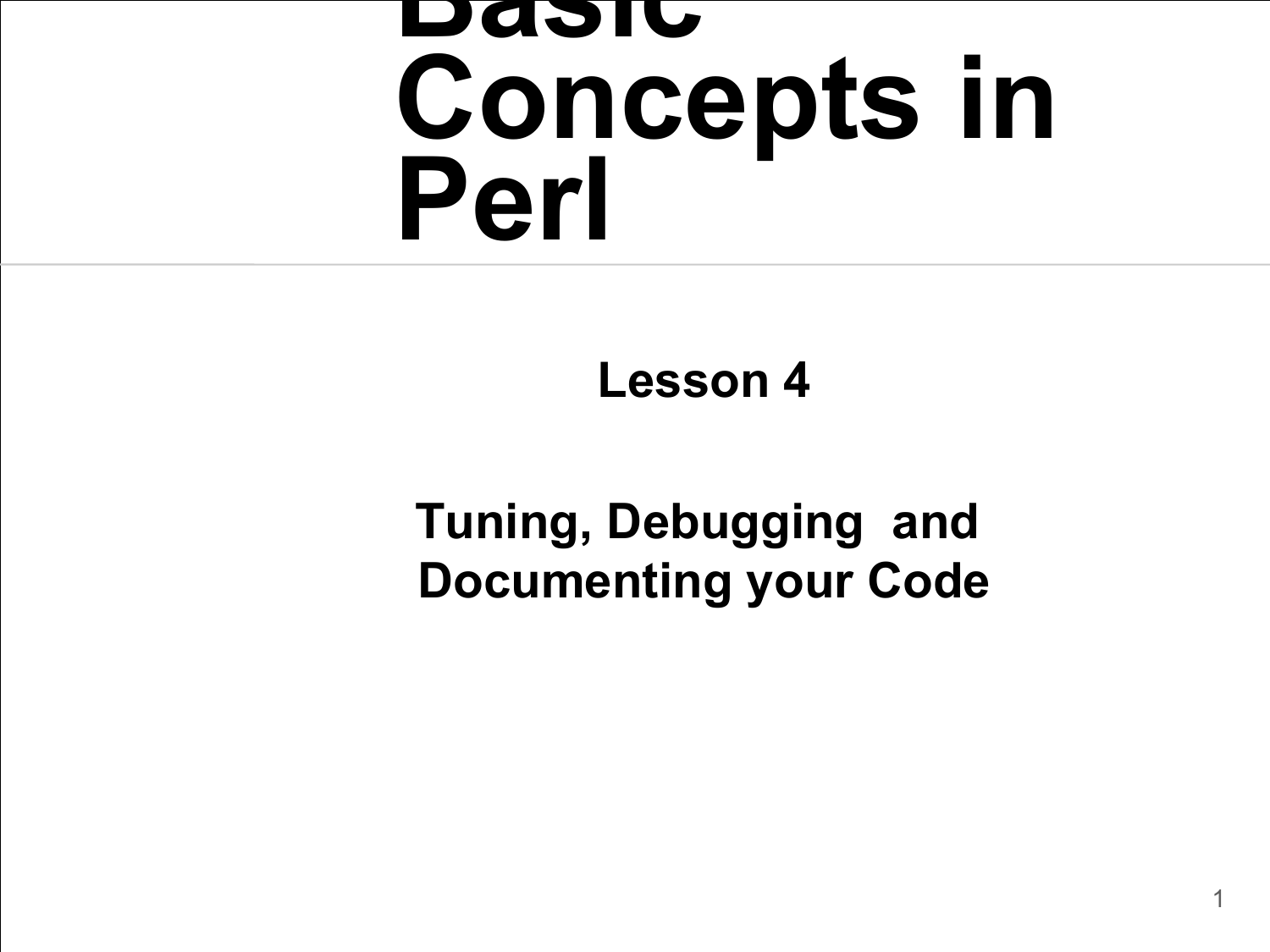#### **Basic Concepts in Perl**

**Lesson 4**

#### **Tuning, Debugging and Documenting your Code**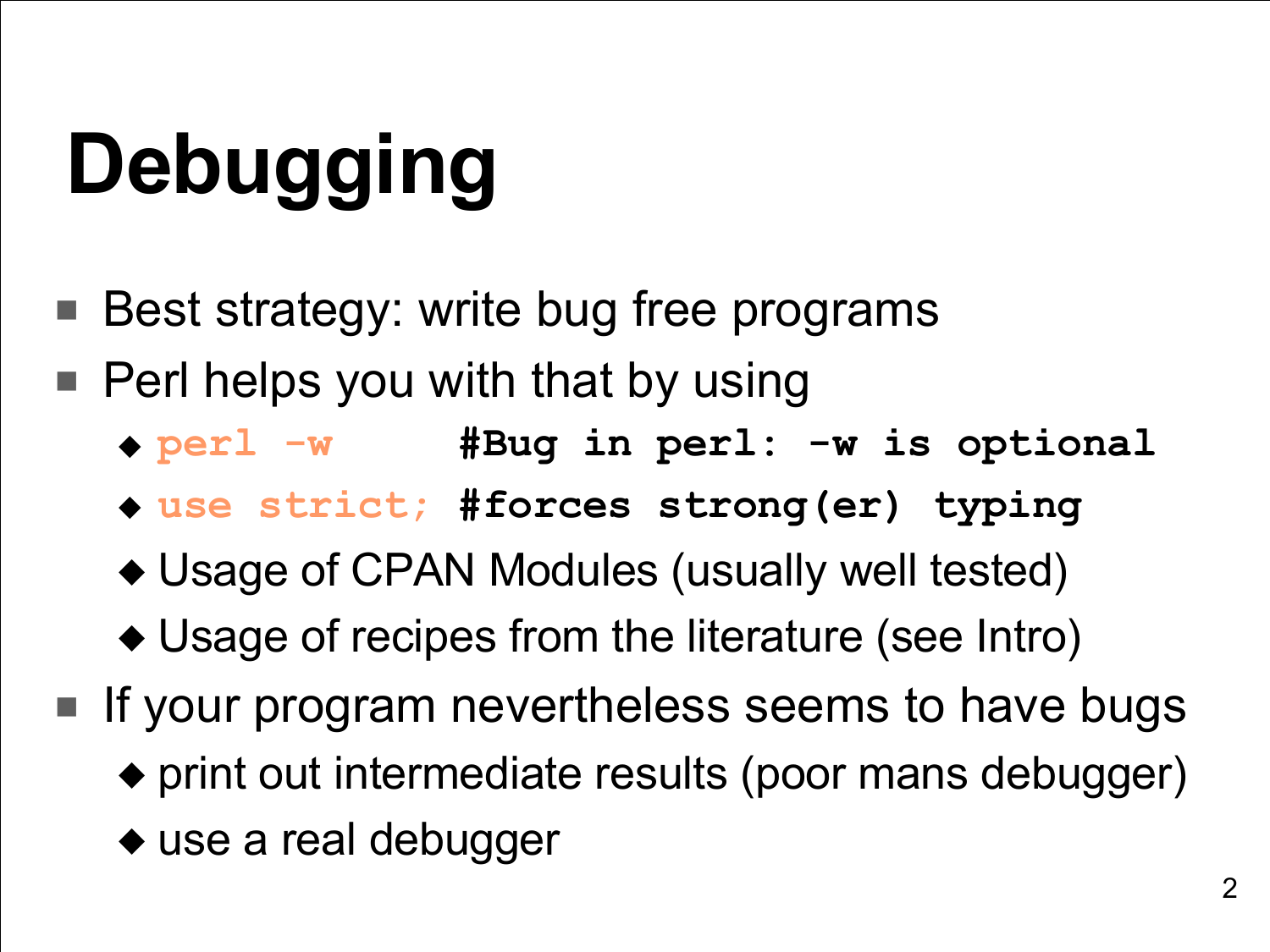# **Debugging**

- Best strategy: write bug free programs
- Perl helps you with that by using
	- ◆ **perl -w #Bug in perl: -w is optional**
	- ◆ **use strict; #forces strong(er) typing**
	- ◆ Usage of CPAN Modules (usually well tested)
	- ◆ Usage of recipes from the literature (see Intro)
- If your program nevertheless seems to have bugs
	- ◆ print out intermediate results (poor mans debugger)
	- ◆ use a real debugger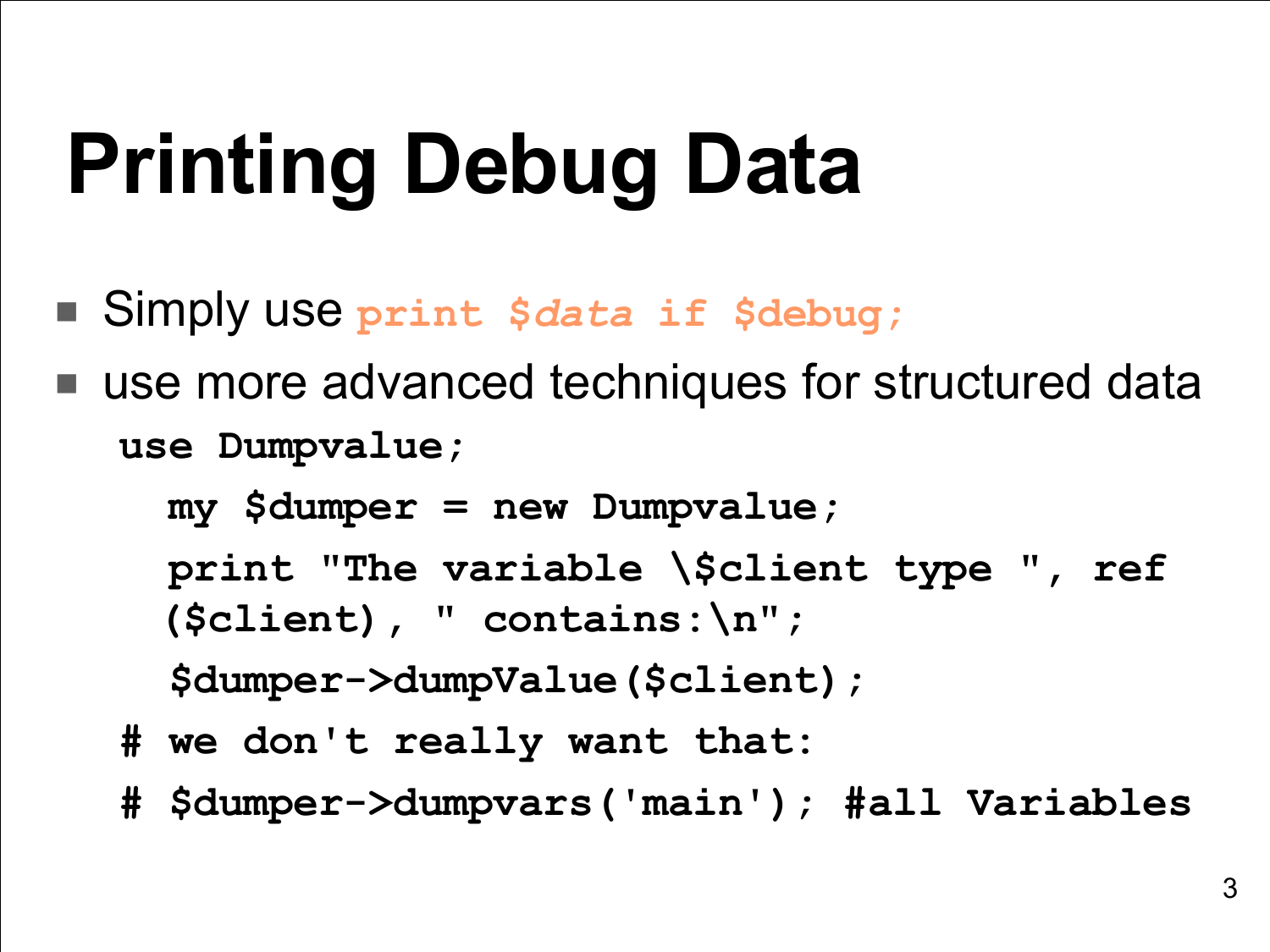## **Printing Debug Data**

- Simply use **print \$***data* **if \$debug;**
- use more advanced techniques for structured data **use Dumpvalue;**

**my \$dumper = new Dumpvalue; print "The variable \\$client type " , ref (\$client), " contains:\n";**

**\$dumper->dumpValue(\$client);**

- **# we don't really want that:**
- **# \$dumper->dumpvars('main'); #all Variables**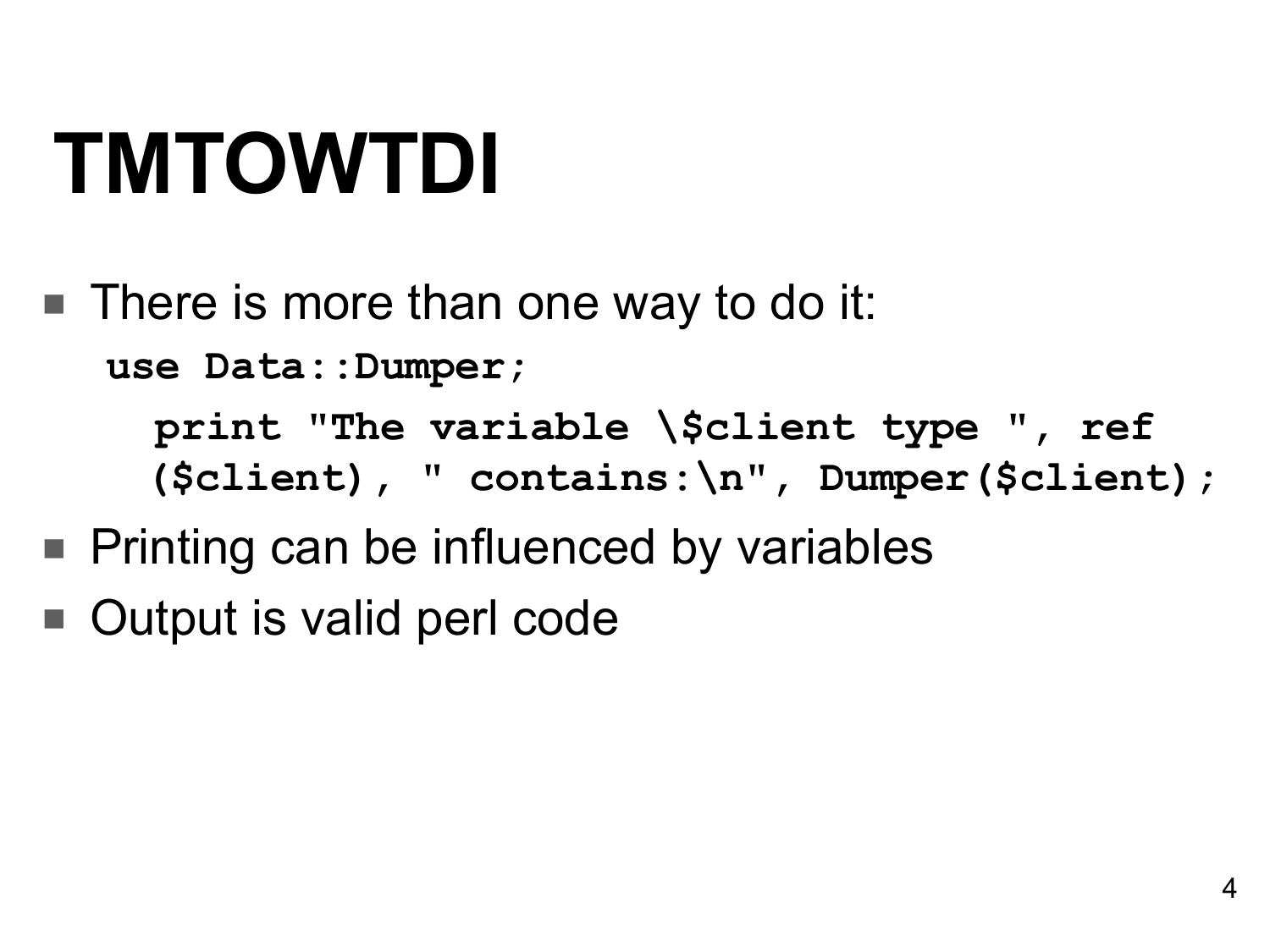#### **TMTOWTDI**

■ There is more than one way to do it: **use Data::Dumper;**

> **print "The variable \\$client type " , ref (\$client), " contains:\n" , Dumper(\$client);**

- Printing can be influenced by variables
- Output is valid perl code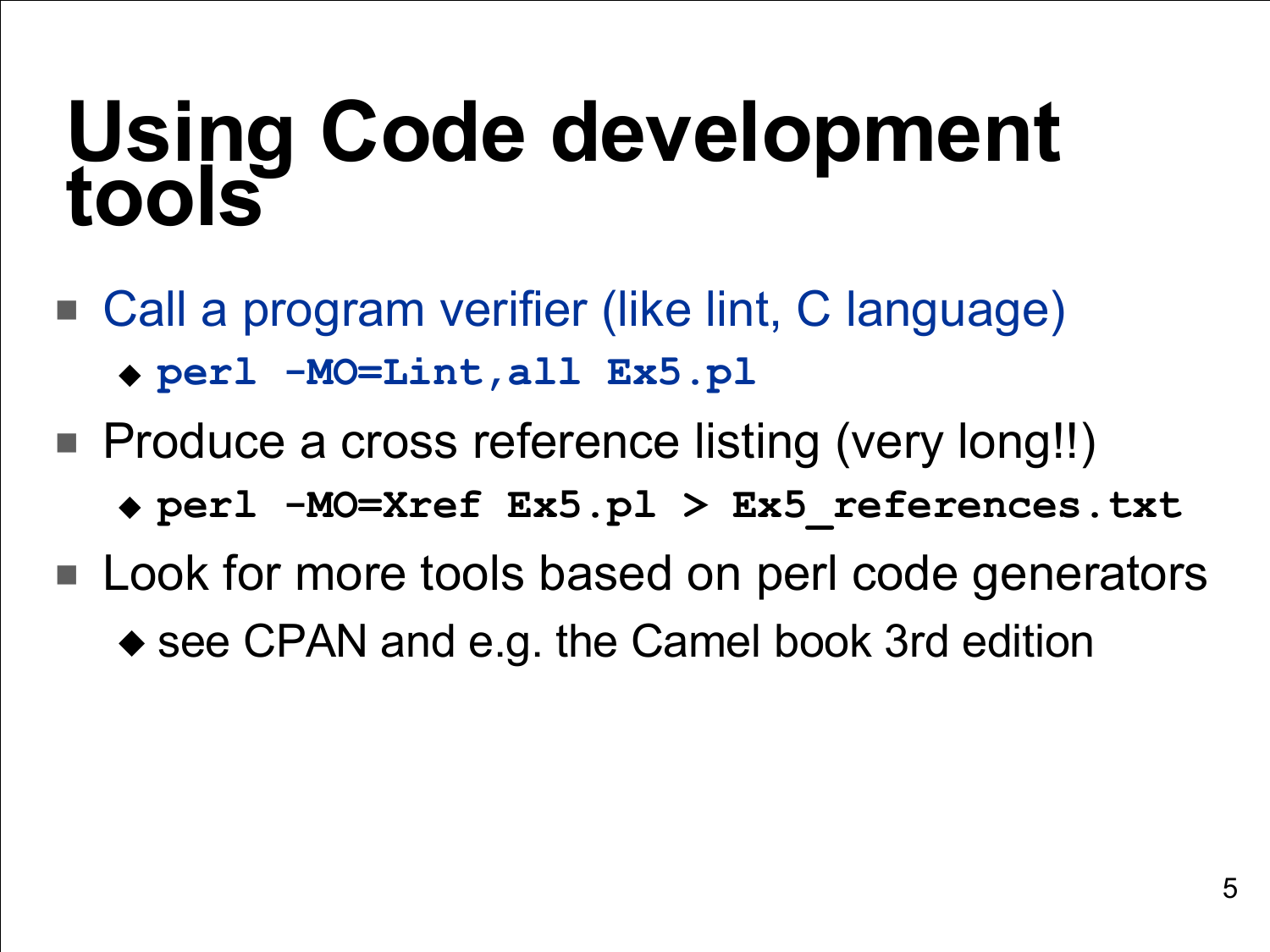#### **Using Code development tools**

- Call a program verifier (like lint, C language) ◆ **perl -MO=Lint,all Ex5.pl**
- Produce a cross reference listing (very long!!)
	- ◆ **perl -MO=Xref Ex5.pl > Ex5\_references.txt**
- Look for more tools based on perl code generators ◆ see CPAN and e.g. the Camel book 3rd edition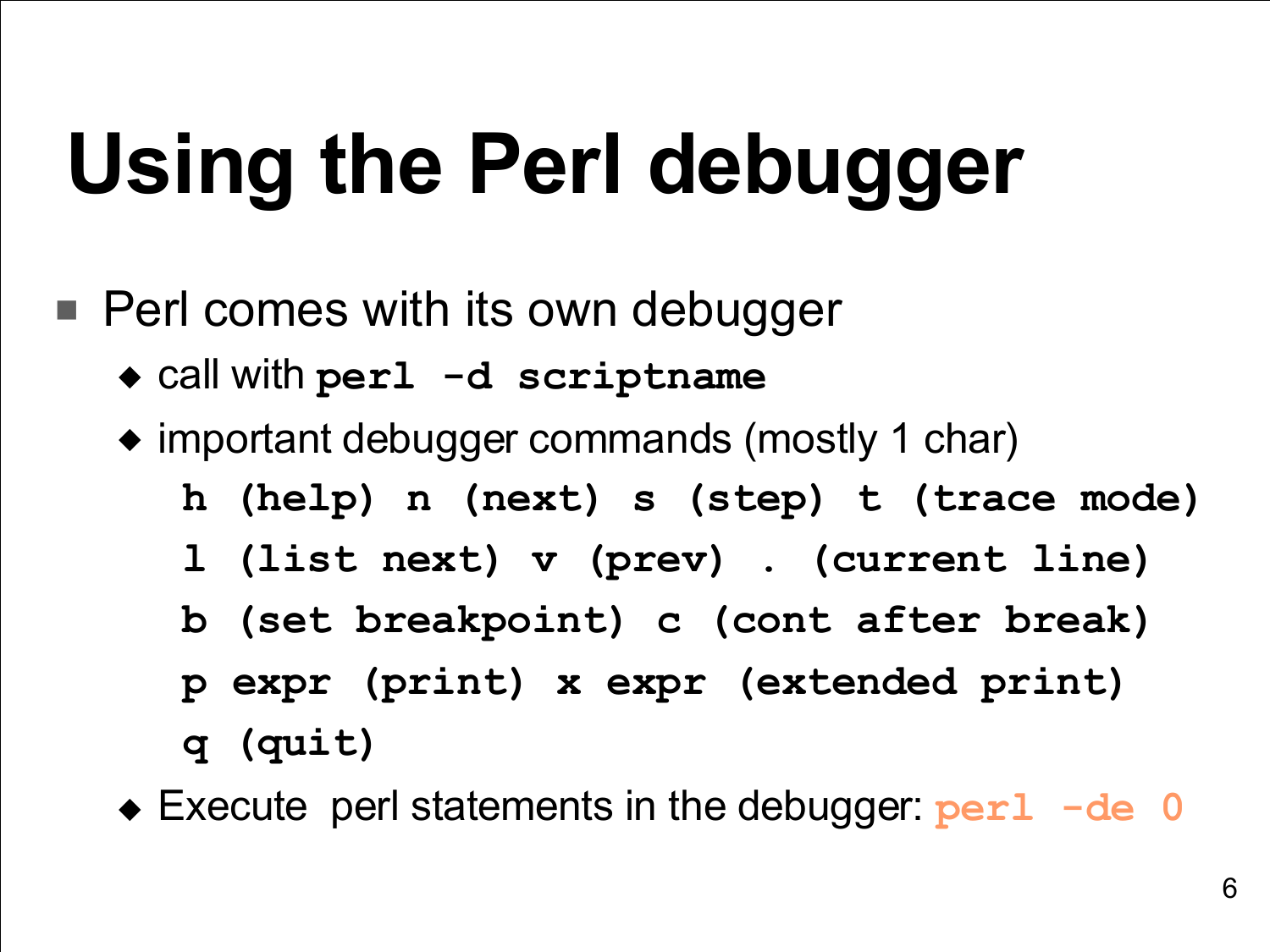## **Using the Perl debugger**

- Perl comes with its own debugger
	- ◆ call with **perl -d scriptname**
	- ◆ important debugger commands (mostly 1 char)
		- **h (help) n (next) s (step) t (trace mode)**
		- **l (list next) v (prev) . (current line)**
		- **b (set breakpoint) c (cont after break)**
		- **p expr (print) x expr (extended print)**
		- **q (quit)**
	- ◆ Execute perl statements in the debugger: **perl -de 0**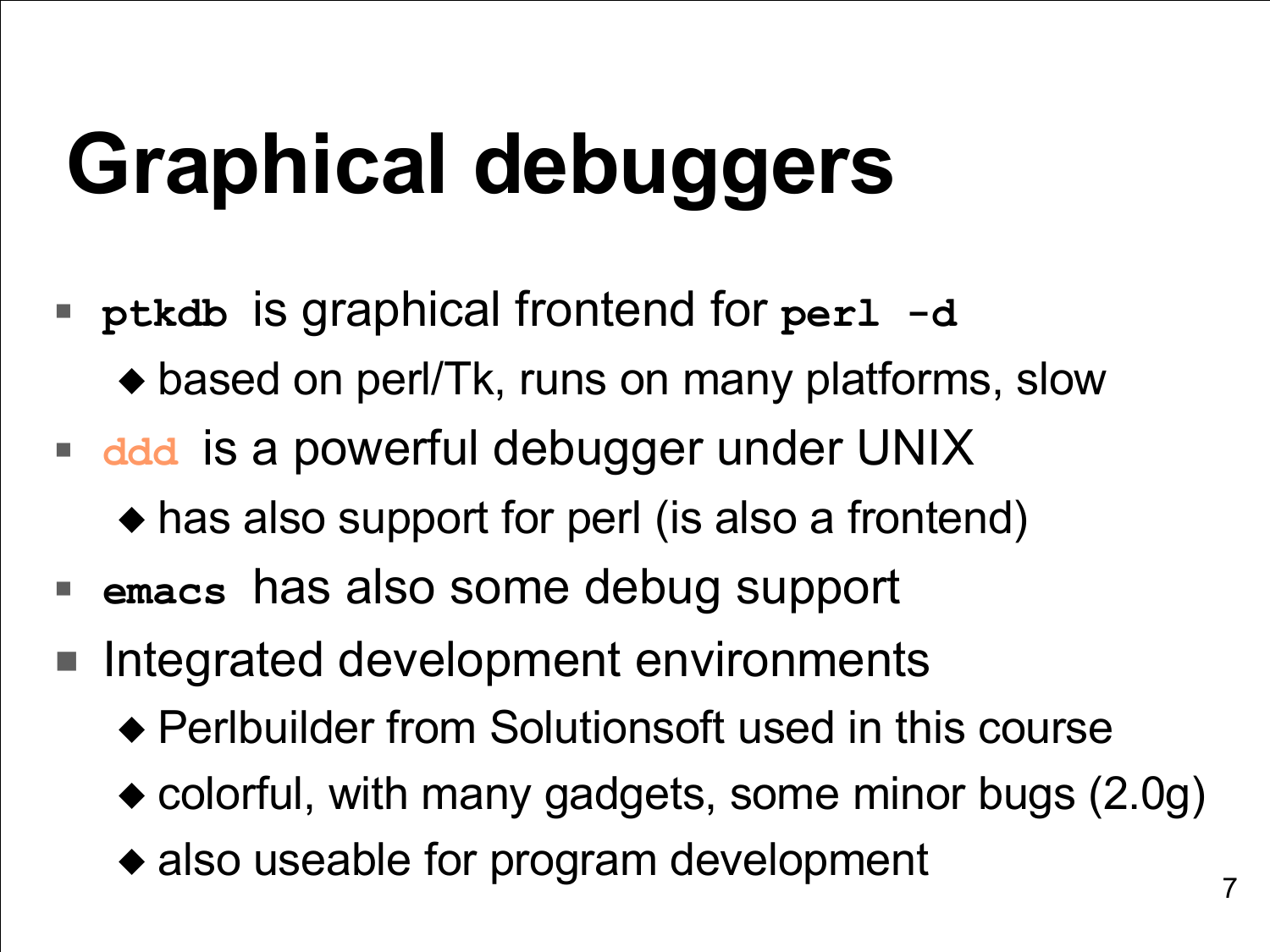## **Graphical debuggers**

- **ptkdb** is graphical frontend for **perl -d** ◆ based on perl/Tk, runs on many platforms, slow
- **ddd** is a powerful debugger under UNIX
	- ◆ has also support for perl (is also a frontend)
- **emacs** has also some debug support
- Integrated development environments
	- ◆ Perlbuilder from Solutionsoft used in this course
	- ◆ colorful, with many gadgets, some minor bugs (2.0g)
	- ◆ also useable for program development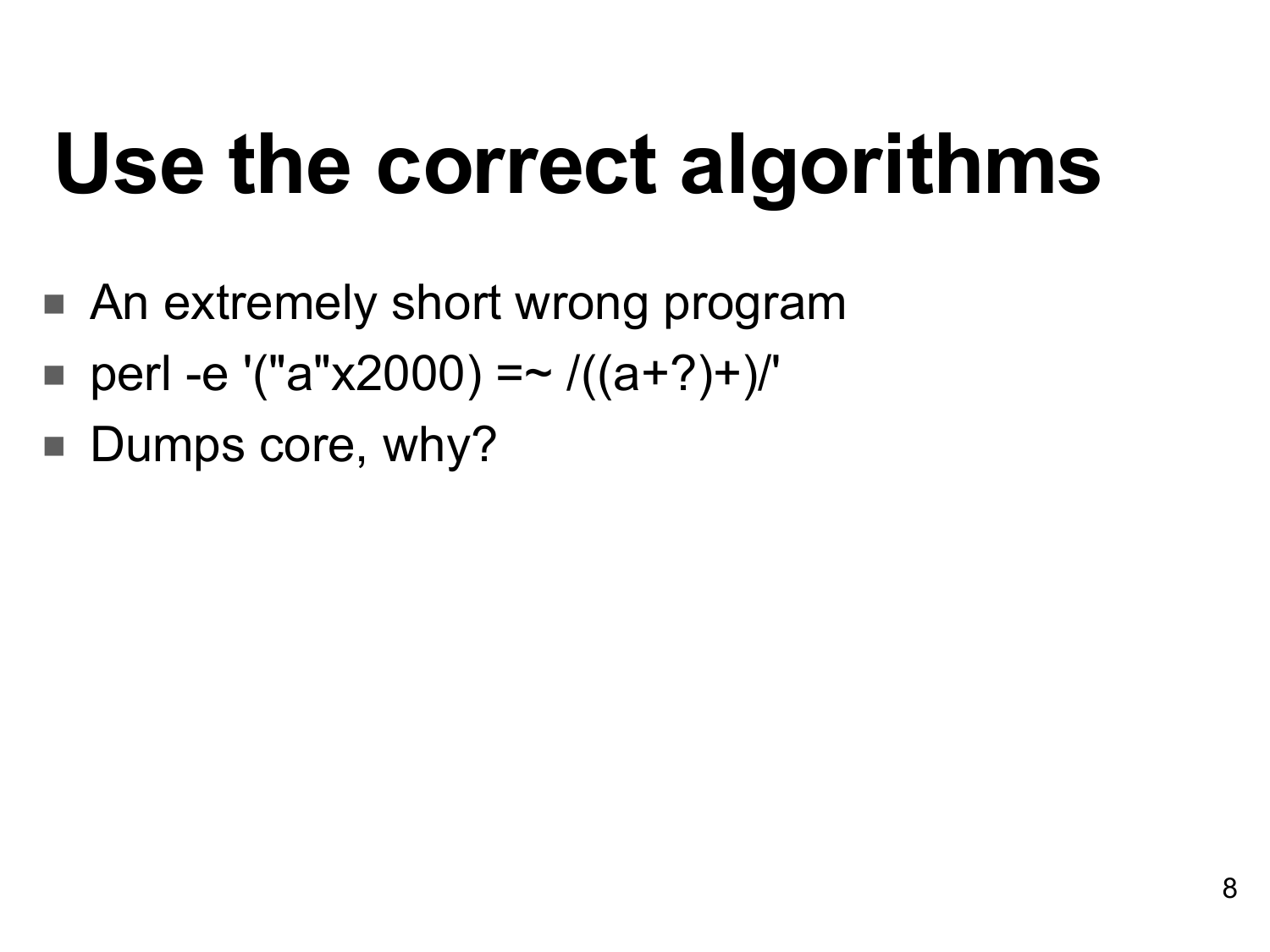### **Use the correct algorithms**

- An extremely short wrong program
- perl -e '("a"x2000) =~  $/((a+?)+)'$
- Dumps core, why?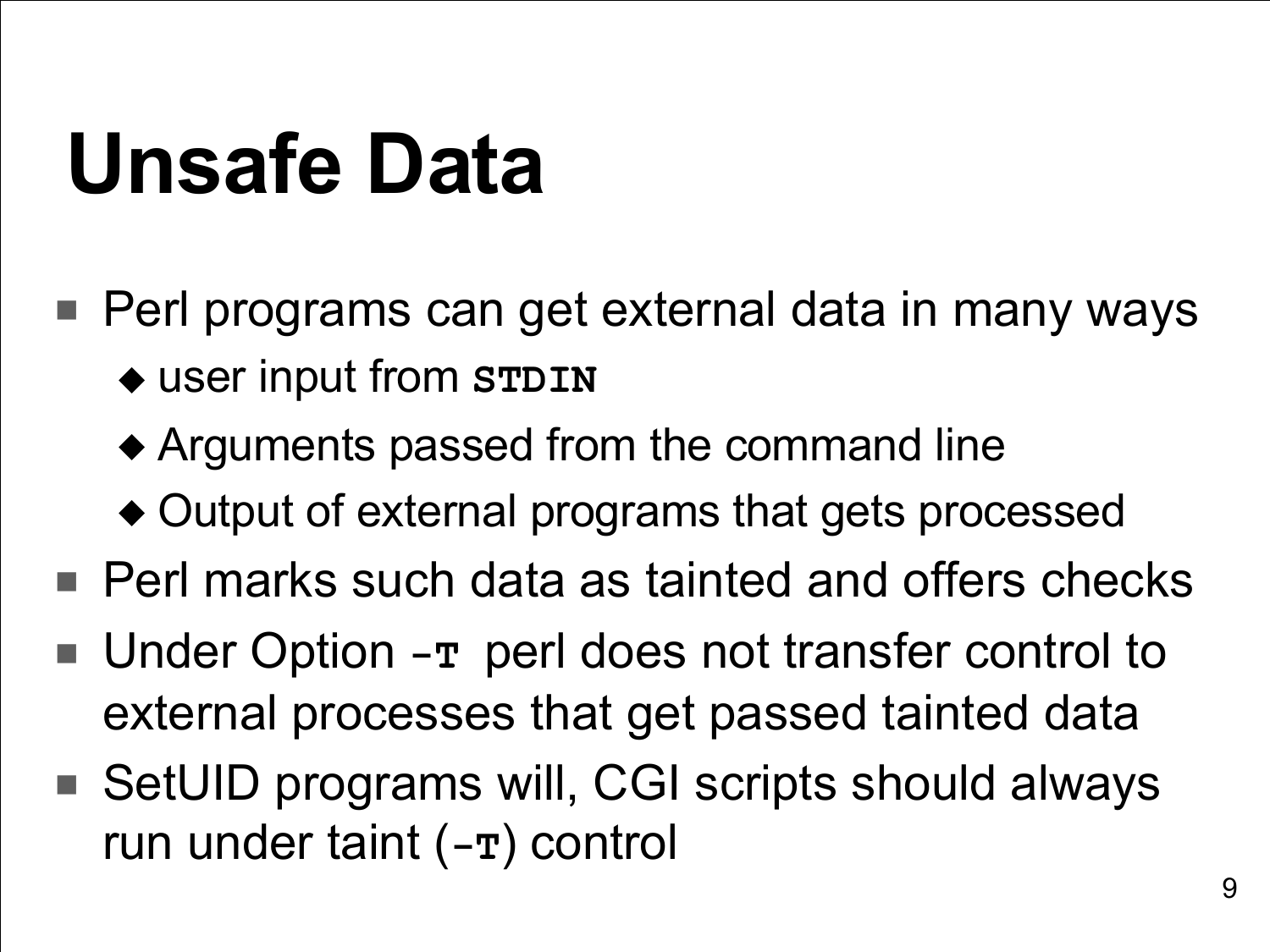#### **Unsafe Data**

- Perl programs can get external data in many ways ◆ user input from **STDIN**
	- ◆ Arguments passed from the command line
	- ◆ Output of external programs that gets processed
- Perl marks such data as tainted and offers checks
- Under Option -**T** perl does not transfer control to external processes that get passed tainted data
- SetUID programs will, CGI scripts should always run under taint (**-T**) control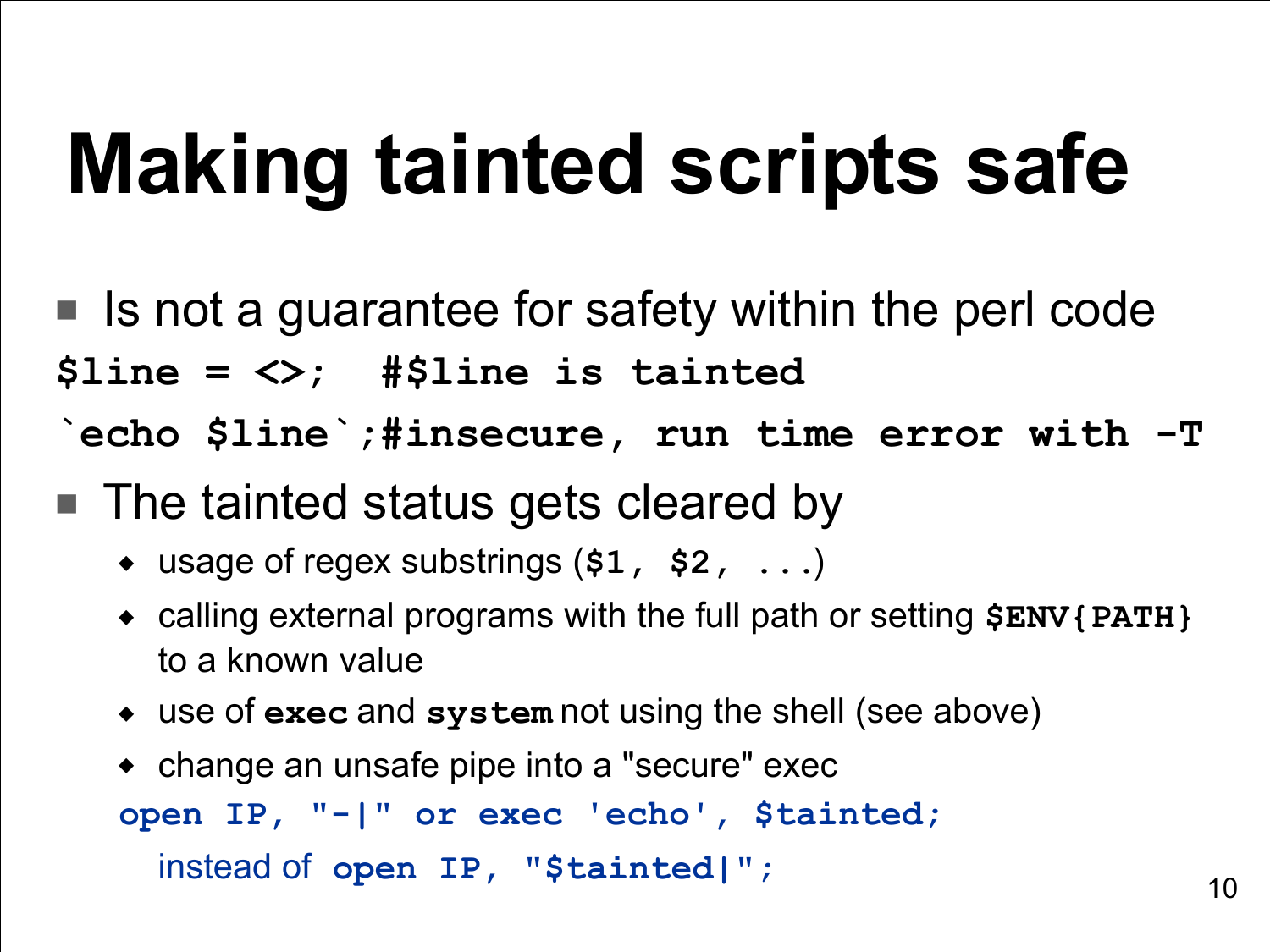### **Making tainted scripts safe**

- Is not a guarantee for safety within the perl code **\$line = <>; #\$line is tainted `echo \$line`;#insecure, run time error with -T**
- The tainted status gets cleared by
	- ◆ usage of regex substrings (**\$1, \$2, ...**)
	- ◆ calling external programs with the full path or setting **\$ENV{PATH}** to a known value
	- ◆ use of **exec** and **system** not using the shell (see above)

```
◆ change an unsafe pipe into a "secure" exec
open IP, "-|" or exec 'echo', $tainted;
  instead of open IP, "$tainted|";
```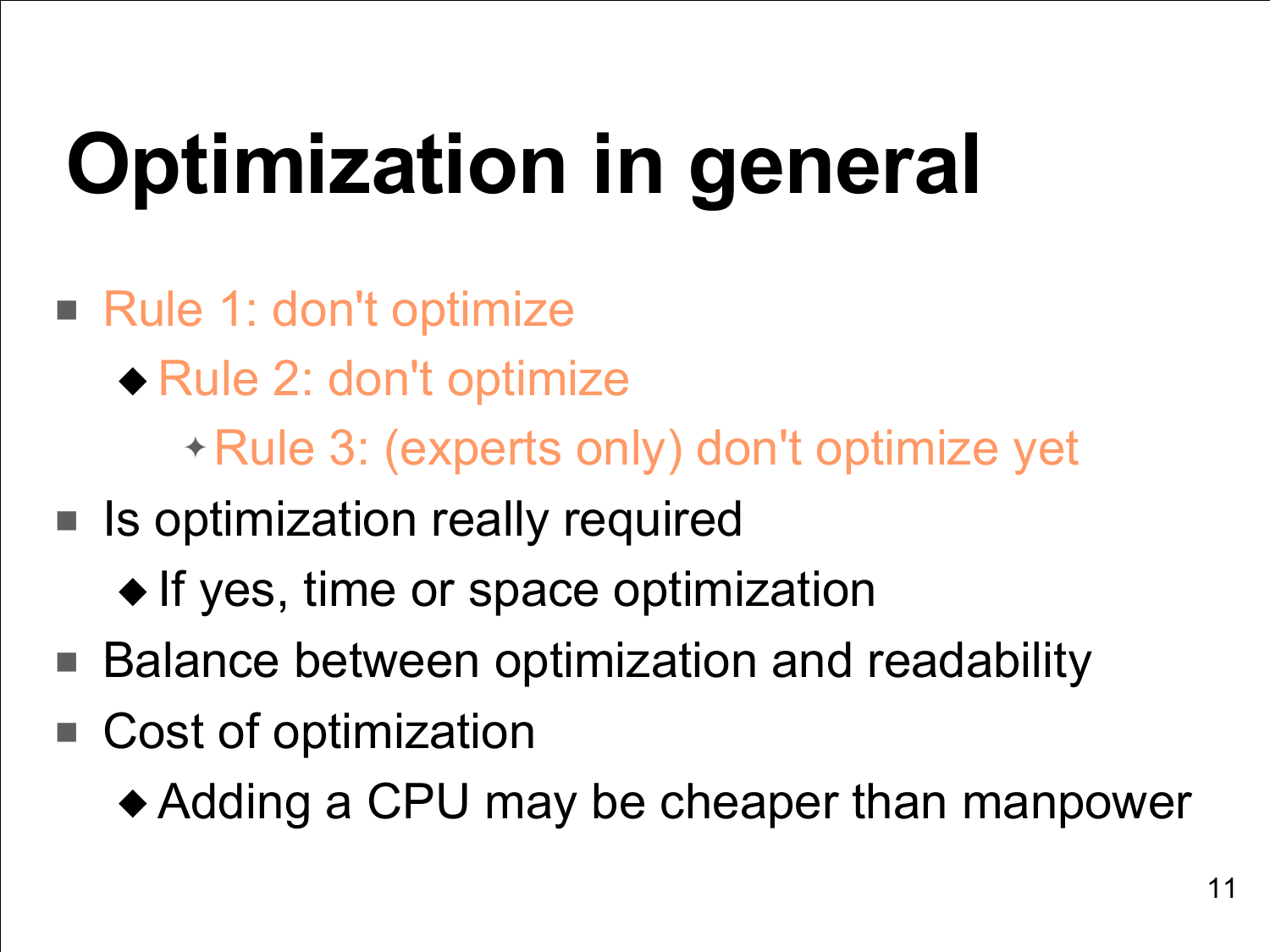# **Optimization in general**

- Rule 1: don't optimize
	- ◆ Rule 2: don't optimize
		- ✦ Rule 3: (experts only) don't optimize yet
- Is optimization really required
	- ◆ If yes, time or space optimization
- Balance between optimization and readability
- Cost of optimization
	- ◆ Adding a CPU may be cheaper than manpower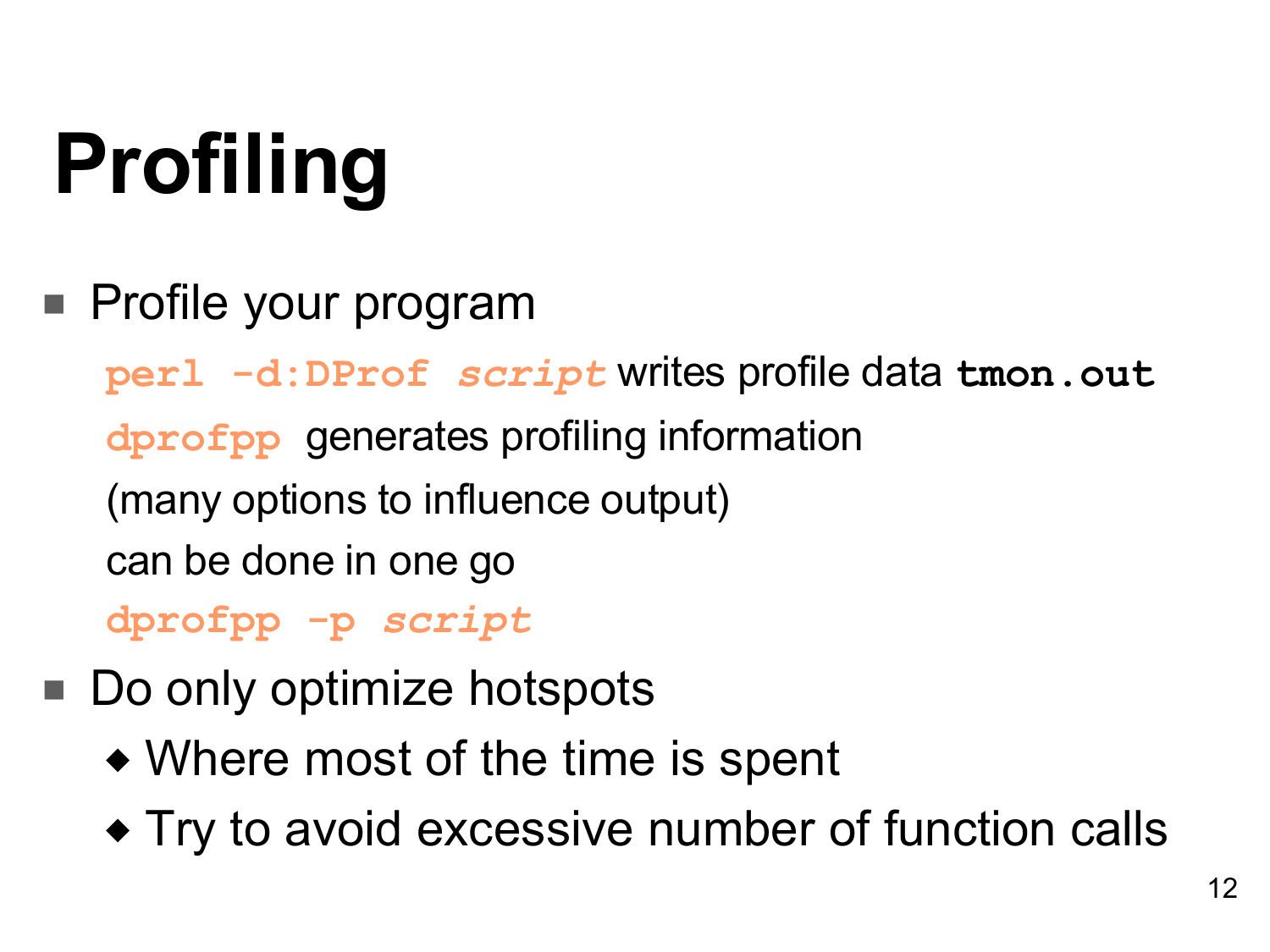# **Profiling**

■ Profile your program

**perl -d:DProf** *script* writes profile data **tmon.out dprofpp** generates profiling information (many options to influence output) can be done in one go **dprofpp -p** *script*

- Do only optimize hotspots
	- ◆ Where most of the time is spent
	- ◆ Try to avoid excessive number of function calls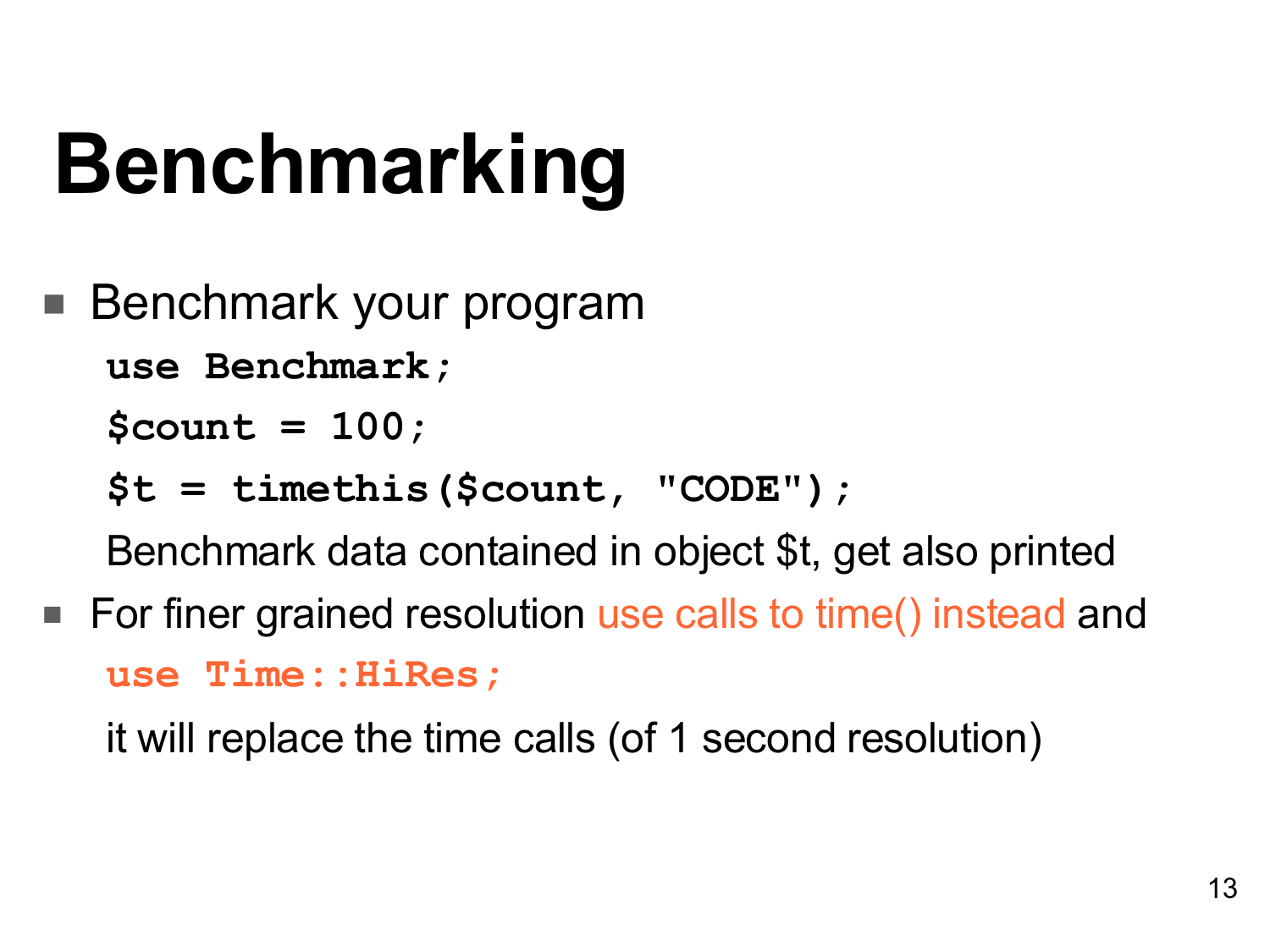### **Benchmarking**

Benchmark your program

**use Benchmark;**

**\$count = 100;**

**\$t = timethis(\$count, "CODE");**

Benchmark data contained in object \$t, get also printed

■ For finer grained resolution use calls to time() instead and **use Time::HiRes;**

it will replace the time calls (of 1 second resolution)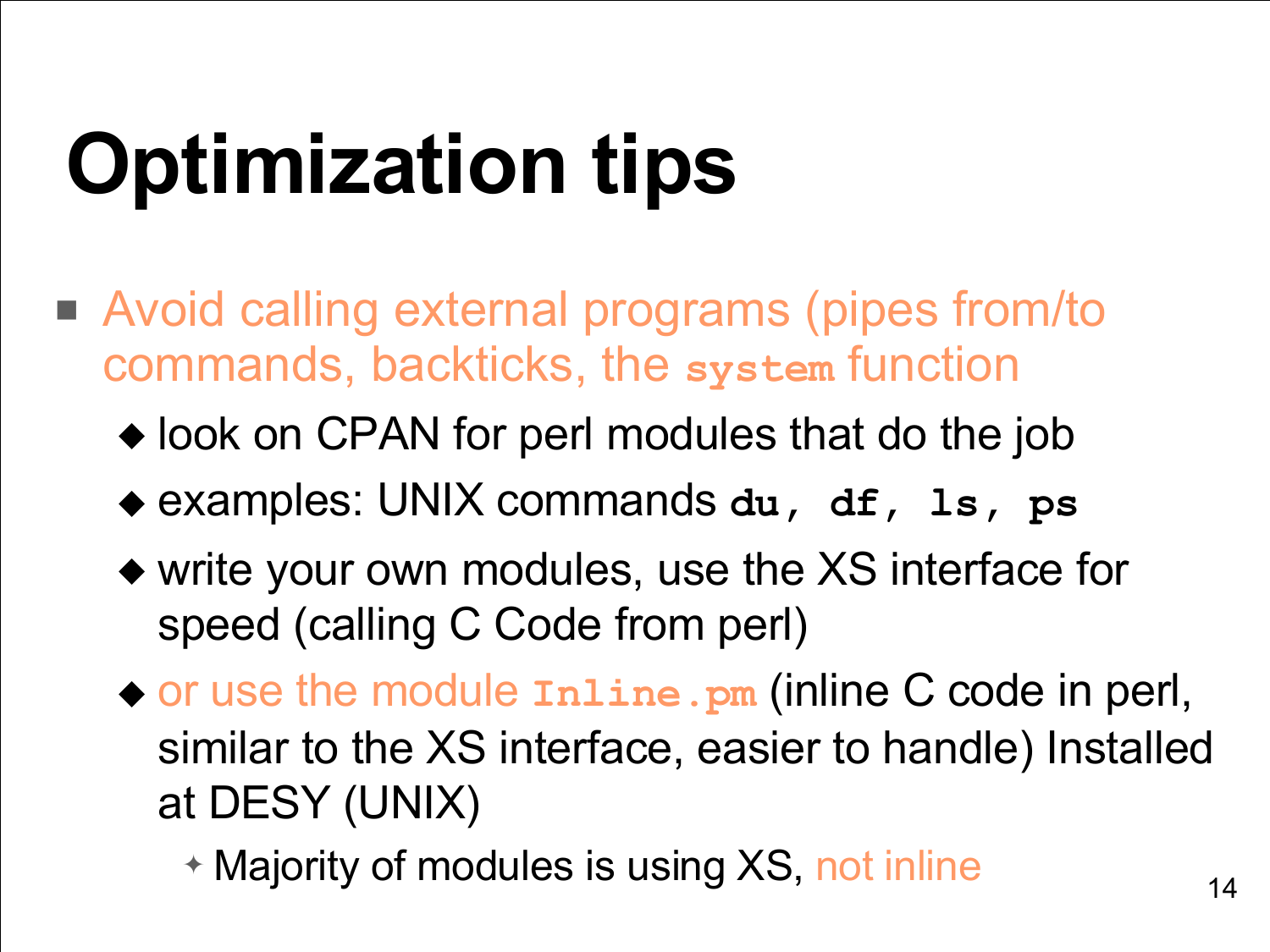# **Optimization tips**

- Avoid calling external programs (pipes from/to commands, backticks, the **system** function
	- ◆ look on CPAN for perl modules that do the job
	- ◆ examples: UNIX commands **du, df, ls, ps**
	- ◆ write your own modules, use the XS interface for speed (calling C Code from perl)
	- ◆ or use the module **Inline.pm** (inline C code in perl, similar to the XS interface, easier to handle) Installed at DESY (UNIX)
		- ✦ Majority of modules is using XS, not inline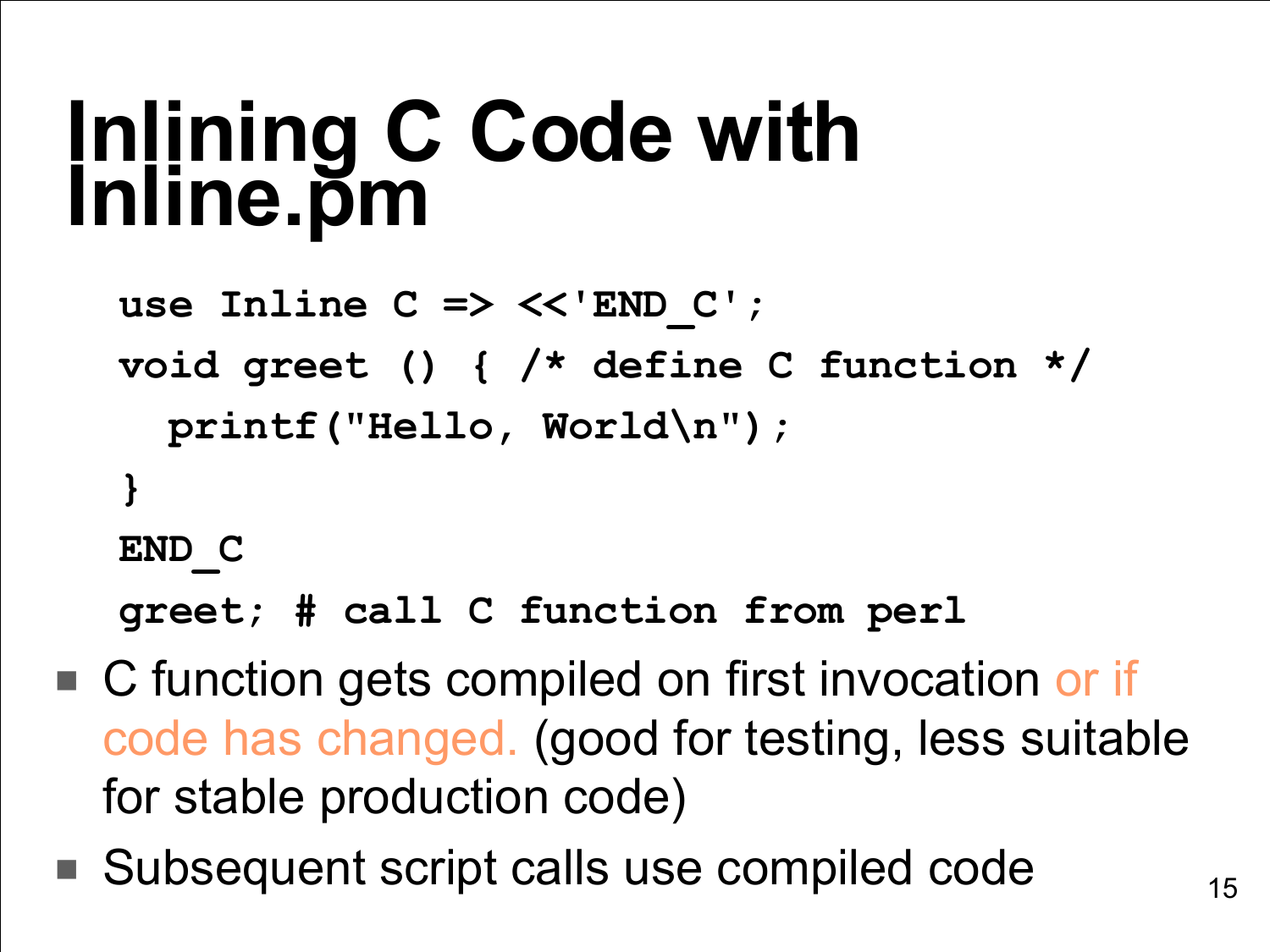#### **Inlining C Code with Inline.pm**

```
use Inline C => <<'END_C';
void greet () { /* define C function */
  printf("Hello, World\n");
}
END_C
```
**greet; # call C function from perl**

- C function gets compiled on first invocation or if code has changed. (good for testing, less suitable for stable production code)
- Subsequent script calls use compiled code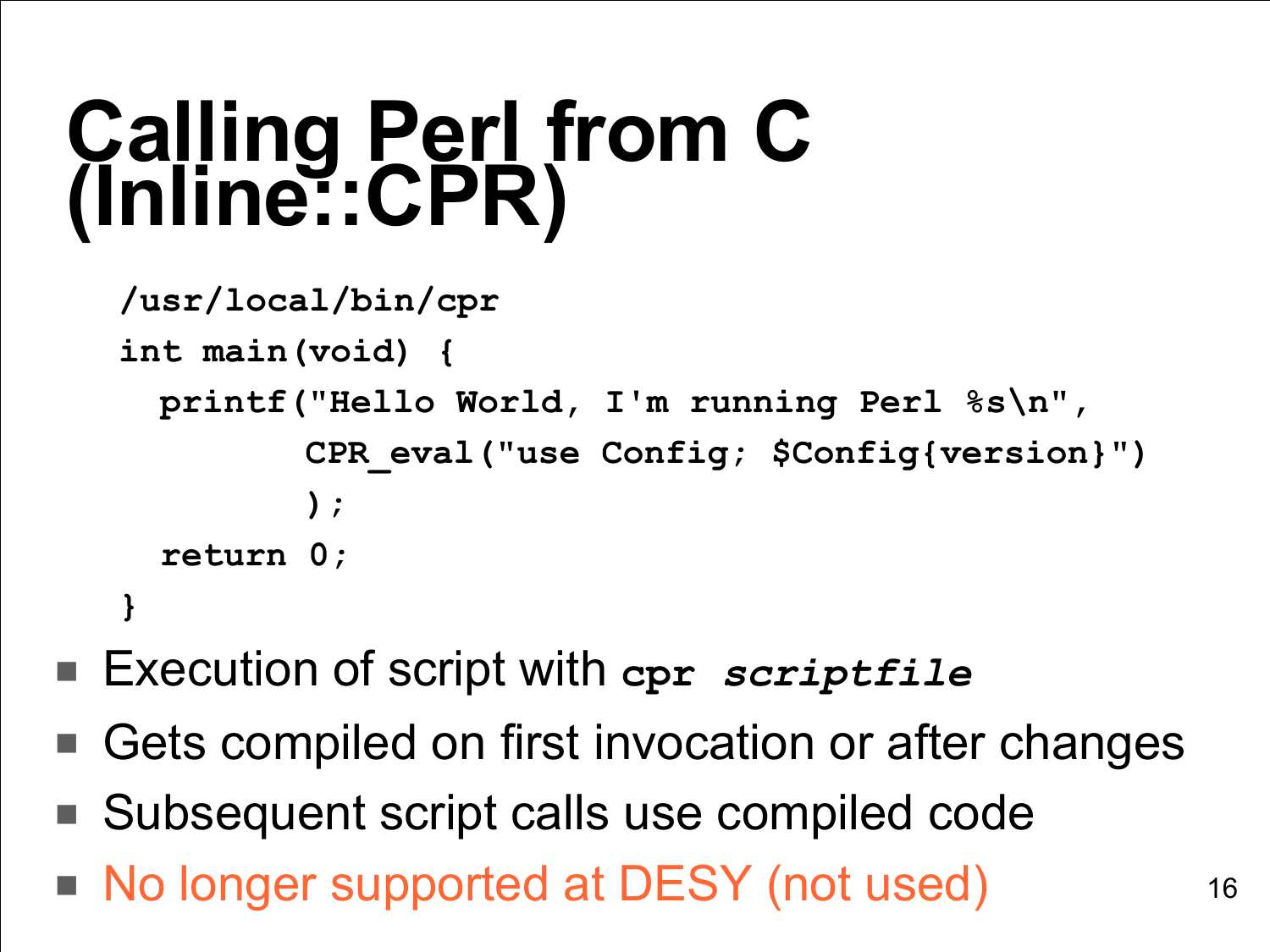#### **Calling Perl from C (Inline::CPR)**

```
/usr/local/bin/cpr
int main(void) {
  printf("Hello World, I'm running Perl %s\n",
          CPR_eval("use Config; $Config{version}")
          );
   return 0;
}
```
- Execution of script with **cpr** *scriptfile*
- Gets compiled on first invocation or after changes
- Subsequent script calls use compiled code
- No longer supported at DESY (not used)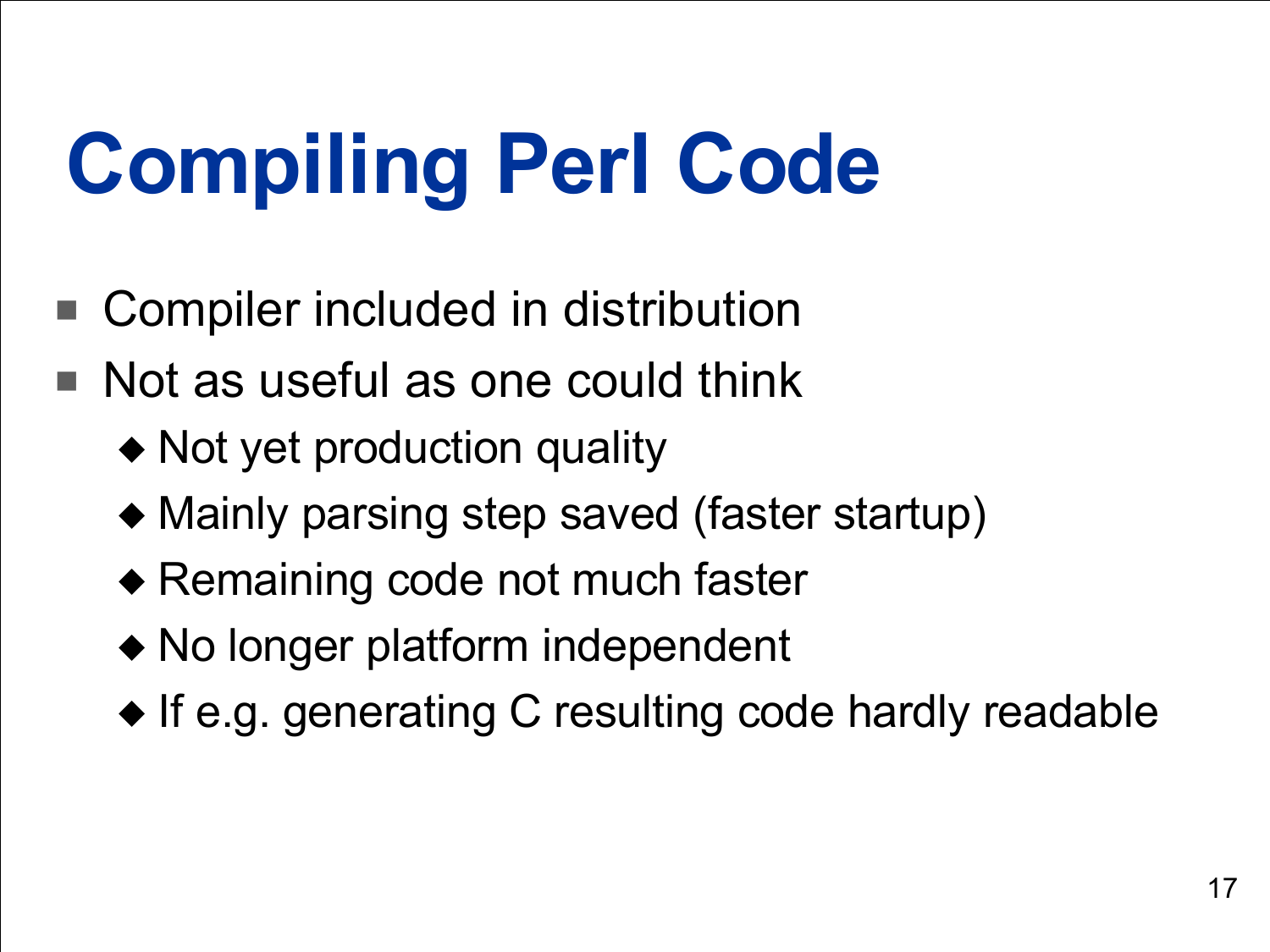### **Compiling Perl Code**

- Compiler included in distribution
- Not as useful as one could think
	- ◆ Not yet production quality
	- ◆ Mainly parsing step saved (faster startup)
	- ◆ Remaining code not much faster
	- ◆ No longer platform independent
	- ◆ If e.g. generating C resulting code hardly readable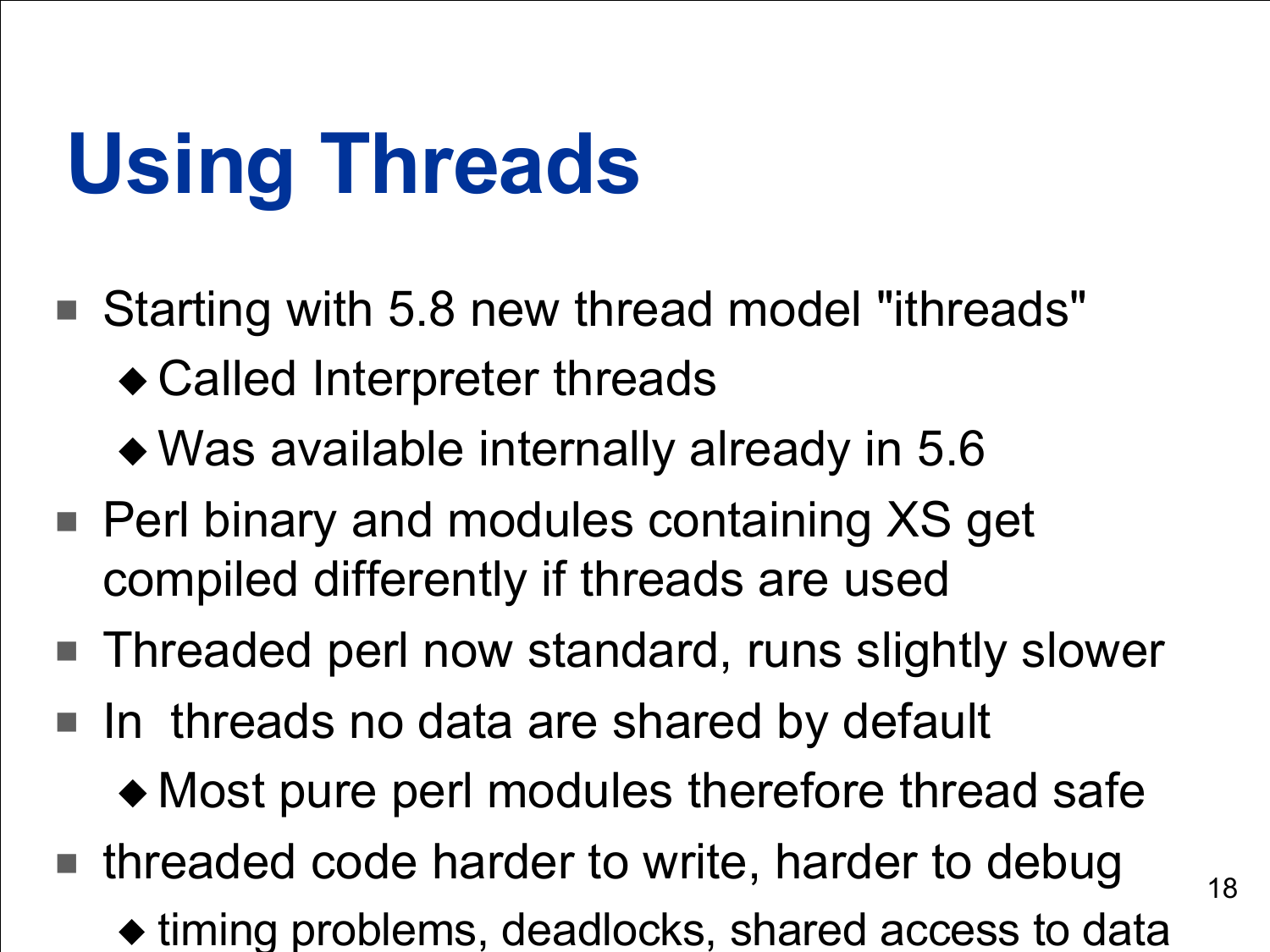### **Using Threads**

- Starting with 5.8 new thread model "ithreads" ◆ Called Interpreter threads
	- ◆ Was available internally already in 5.6
- Perl binary and modules containing XS get compiled differently if threads are used
- Threaded perl now standard, runs slightly slower
- In threads no data are shared by default
	- ◆ Most pure perl modules therefore thread safe
- threaded code harder to write, harder to debug
	- ◆ timing problems, deadlocks, shared access to data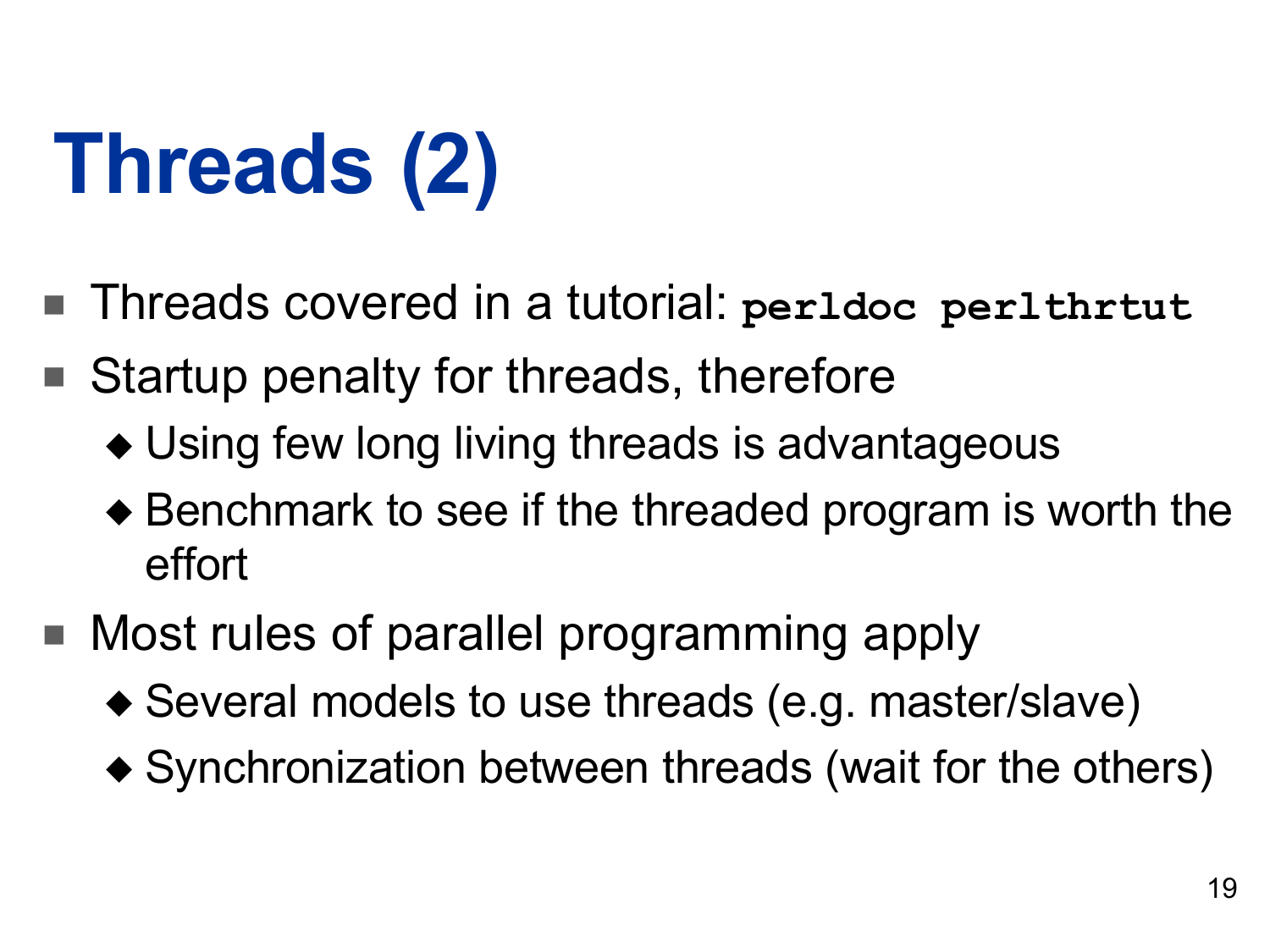# **Threads (2)**

- Threads covered in a tutorial: **perldoc perlthrtut**
- Startup penalty for threads, therefore
	- ◆ Using few long living threads is advantageous
	- ◆ Benchmark to see if the threaded program is worth the effort
- Most rules of parallel programming apply
	- ◆ Several models to use threads (e.g. master/slave)
	- ◆ Synchronization between threads (wait for the others)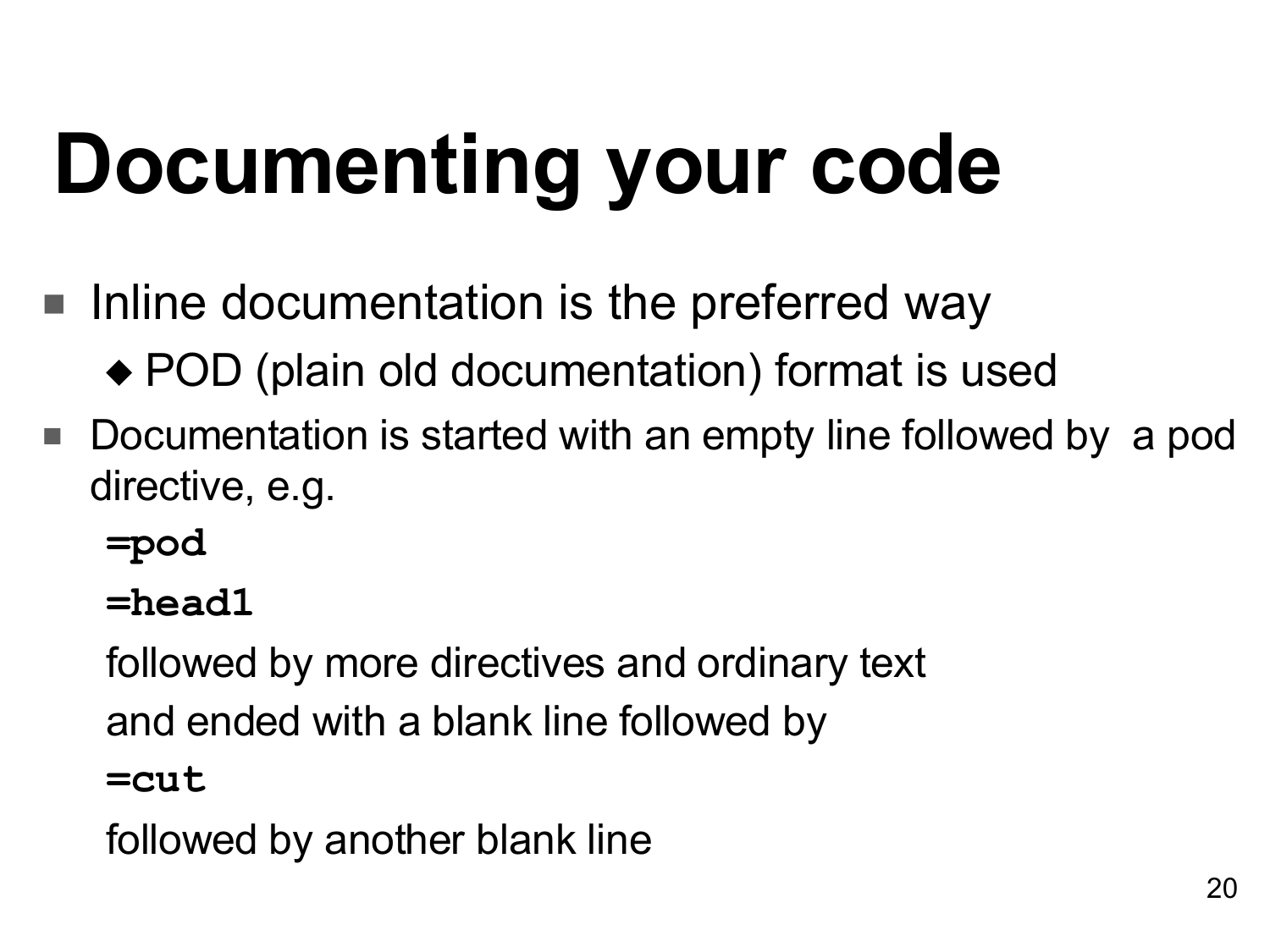# **Documenting your code**

- Inline documentation is the preferred way
	- ◆ POD (plain old documentation) format is used
- Documentation is started with an empty line followed by a pod directive, e.g.
	- **=pod**

**=head1**

followed by more directives and ordinary text and ended with a blank line followed by **=cut**

followed by another blank line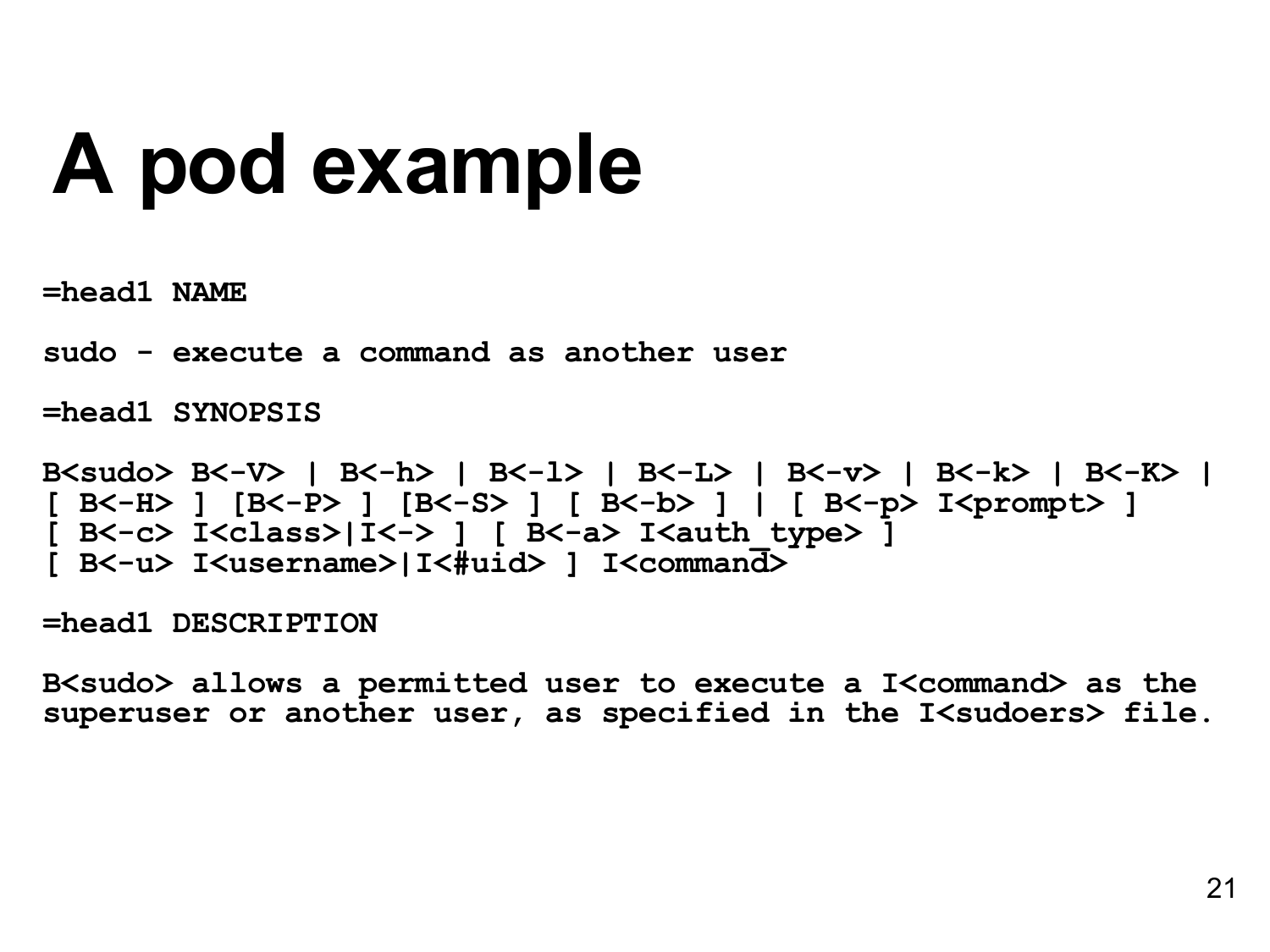#### **A pod example**

**=head1 NAME**

**sudo - execute a command as another user**

**=head1 SYNOPSIS**

```
B<sudo> B<-V> | B<-h> | B<-l> | B<-L> | B<-v> | B<-k> | B<-K> |
[ B<-H> ] [B<-P> ] [B<-S> ] [ B<-b> ] | [ B<-p> I<prompt> ]
[ B<-c> I<class>|I<-> ] [ B<-a> I<auth_type> ]
[ B<-u> I<username>|I<#uid> ] I<command>
```
**=head1 DESCRIPTION**

**B<sudo> allows a permitted user to execute a I<command> as the superuser or another user, as specified in the I<sudoers> file.**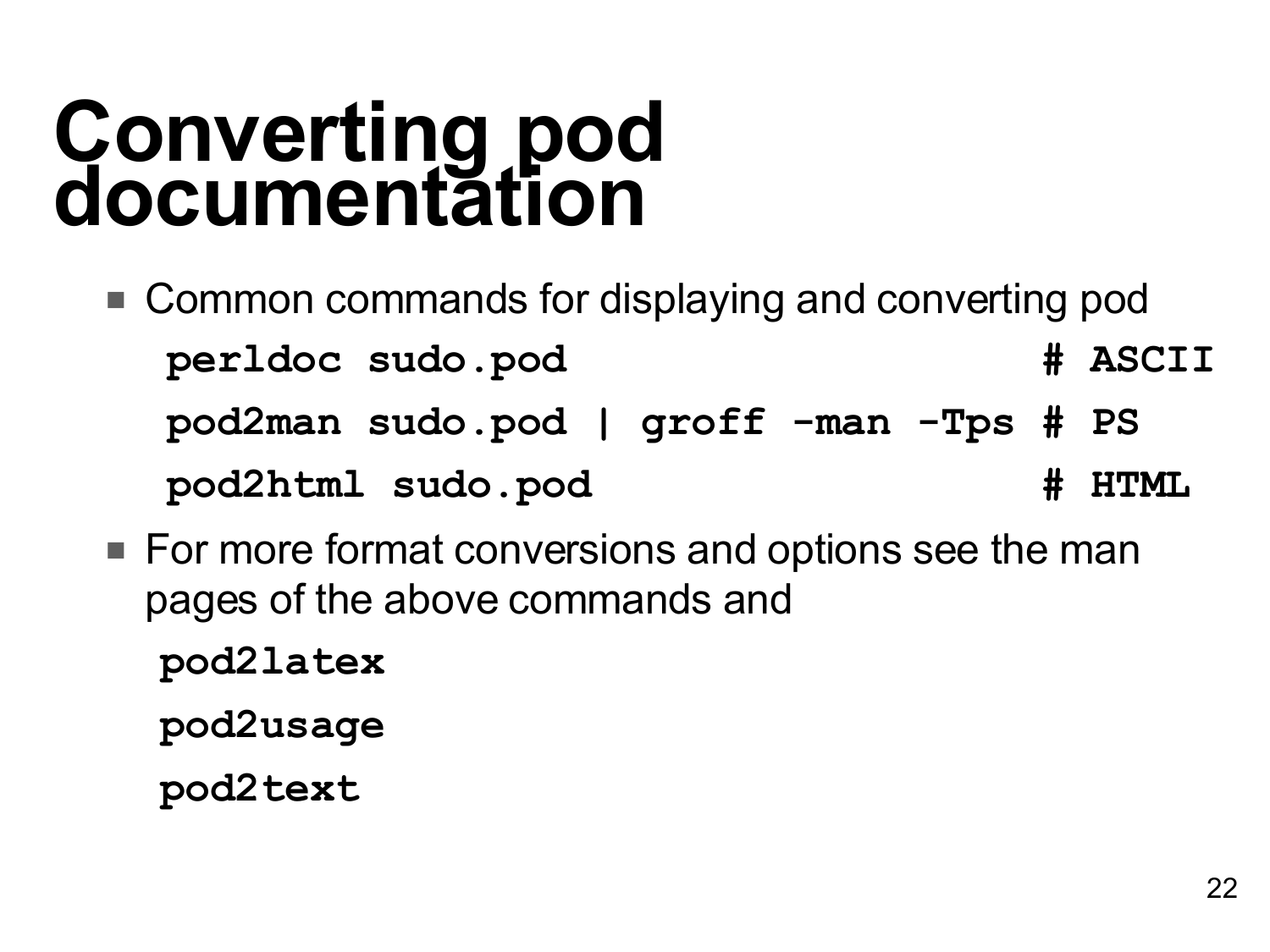#### **Converting pod documentation**

- Common commands for displaying and converting pod **perldoc sudo.pod # ASCII pod2man sudo.pod | groff -man -Tps # PS pod2html sudo.pod # HTML**
- For more format conversions and options see the man pages of the above commands and

**pod2latex**

**pod2usage**

**pod2text**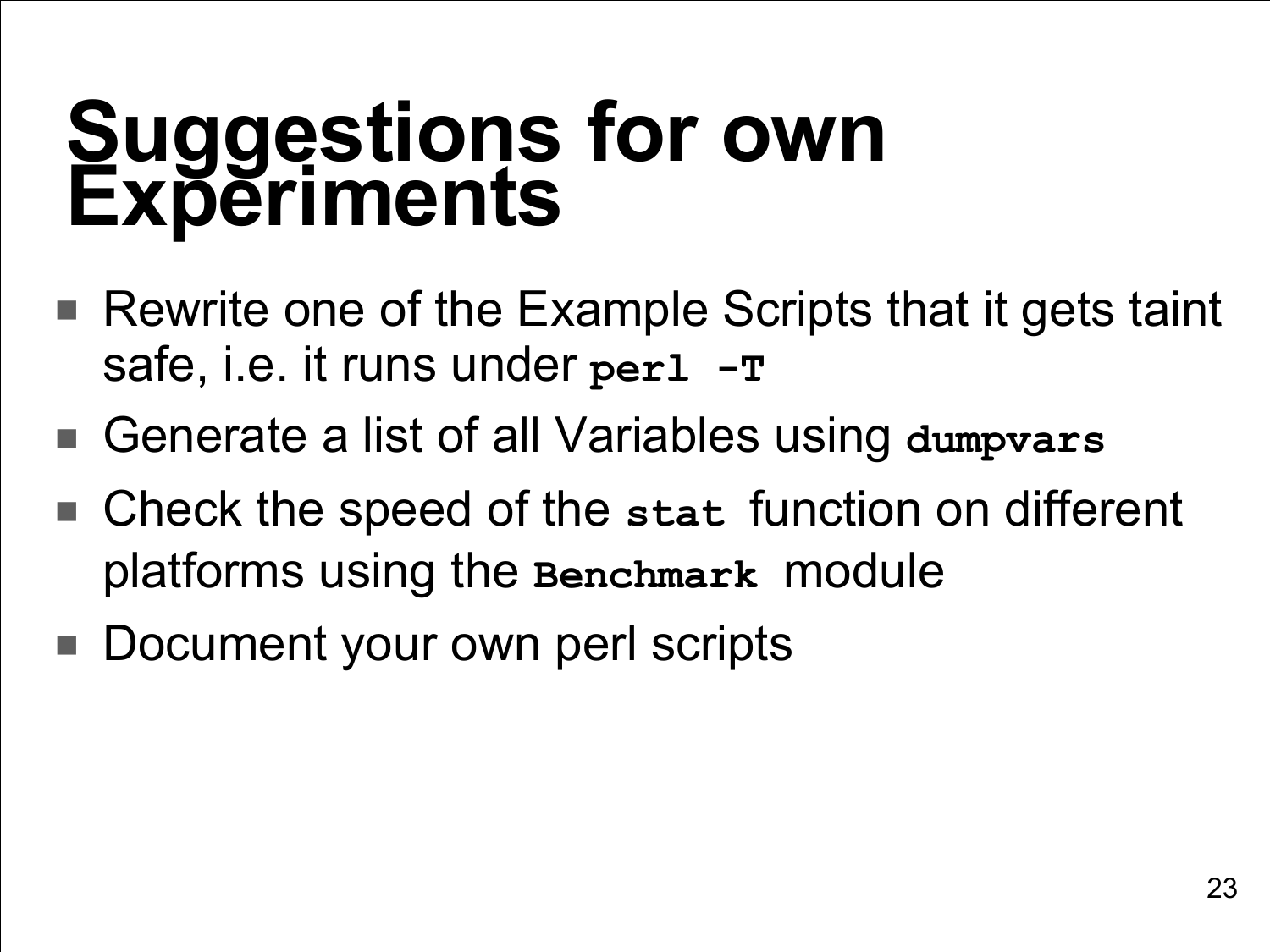#### **Suggestions for own Experiments**

- Rewrite one of the Example Scripts that it gets taint safe, i.e. it runs under **perl -T**
- Generate a list of all Variables using dumpvars
- Check the speed of the stat function on different platforms using the **Benchmark** module
- Document your own perl scripts